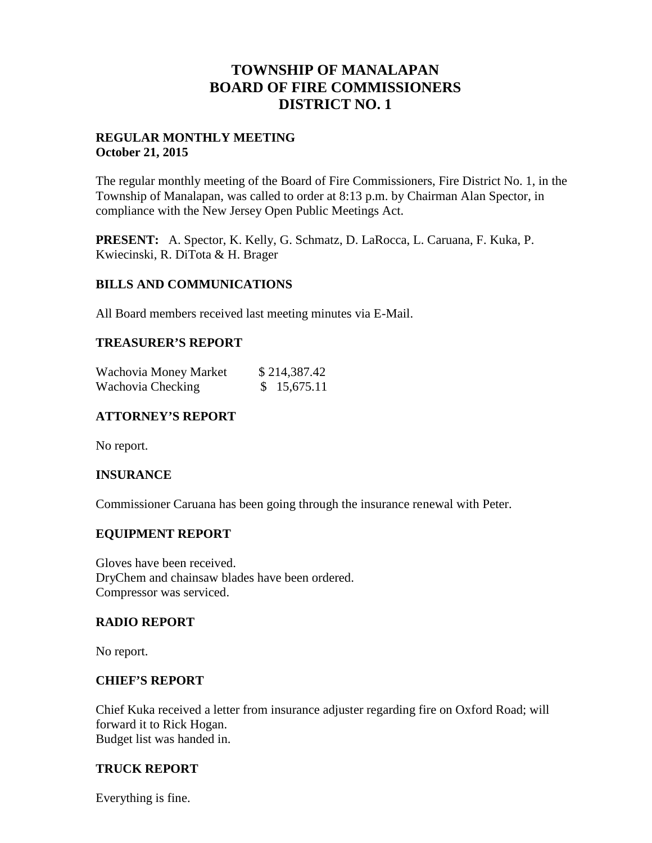# **TOWNSHIP OF MANALAPAN BOARD OF FIRE COMMISSIONERS DISTRICT NO. 1**

# **REGULAR MONTHLY MEETING October 21, 2015**

The regular monthly meeting of the Board of Fire Commissioners, Fire District No. 1, in the Township of Manalapan, was called to order at 8:13 p.m. by Chairman Alan Spector, in compliance with the New Jersey Open Public Meetings Act.

**PRESENT:** A. Spector, K. Kelly, G. Schmatz, D. LaRocca, L. Caruana, F. Kuka, P. Kwiecinski, R. DiTota & H. Brager

## **BILLS AND COMMUNICATIONS**

All Board members received last meeting minutes via E-Mail.

## **TREASURER'S REPORT**

| Wachovia Money Market | \$214,387.42 |
|-----------------------|--------------|
| Wachovia Checking     | \$15,675.11  |

# **ATTORNEY'S REPORT**

No report.

## **INSURANCE**

Commissioner Caruana has been going through the insurance renewal with Peter.

## **EQUIPMENT REPORT**

Gloves have been received. DryChem and chainsaw blades have been ordered. Compressor was serviced.

#### **RADIO REPORT**

No report.

#### **CHIEF'S REPORT**

Chief Kuka received a letter from insurance adjuster regarding fire on Oxford Road; will forward it to Rick Hogan. Budget list was handed in.

# **TRUCK REPORT**

Everything is fine.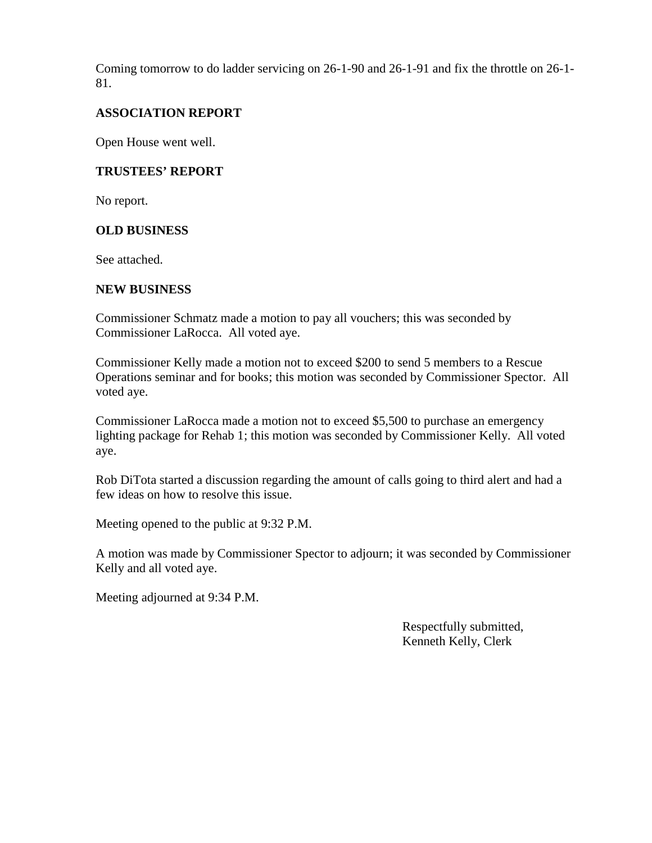Coming tomorrow to do ladder servicing on 26-1-90 and 26-1-91 and fix the throttle on 26-1- 81.

# **ASSOCIATION REPORT**

Open House went well.

## **TRUSTEES' REPORT**

No report.

## **OLD BUSINESS**

See attached.

#### **NEW BUSINESS**

Commissioner Schmatz made a motion to pay all vouchers; this was seconded by Commissioner LaRocca. All voted aye.

Commissioner Kelly made a motion not to exceed \$200 to send 5 members to a Rescue Operations seminar and for books; this motion was seconded by Commissioner Spector. All voted aye.

Commissioner LaRocca made a motion not to exceed \$5,500 to purchase an emergency lighting package for Rehab 1; this motion was seconded by Commissioner Kelly. All voted aye.

Rob DiTota started a discussion regarding the amount of calls going to third alert and had a few ideas on how to resolve this issue.

Meeting opened to the public at 9:32 P.M.

A motion was made by Commissioner Spector to adjourn; it was seconded by Commissioner Kelly and all voted aye.

Meeting adjourned at 9:34 P.M.

Respectfully submitted, Kenneth Kelly, Clerk